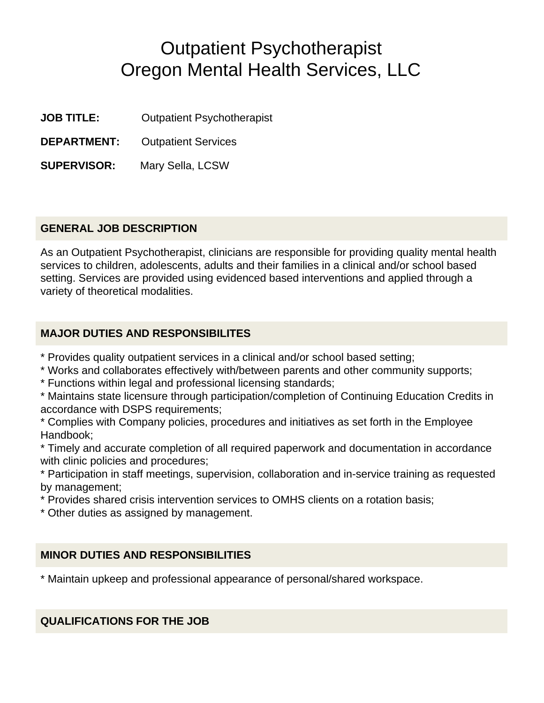# Outpatient Psychotherapist Oregon Mental Health Services, LLC

**JOB TITLE:** Outpatient Psychotherapist

**DEPARTMENT:** Outpatient Services

**SUPERVISOR:** Mary Sella, LCSW

#### **GENERAL JOB DESCRIPTION**

As an Outpatient Psychotherapist, clinicians are responsible for providing quality mental health services to children, adolescents, adults and their families in a clinical and/or school based setting. Services are provided using evidenced based interventions and applied through a variety of theoretical modalities.

#### **MAJOR DUTIES AND RESPONSIBILITES**

- \* Provides quality outpatient services in a clinical and/or school based setting;
- \* Works and collaborates effectively with/between parents and other community supports;
- \* Functions within legal and professional licensing standards;
- \* Maintains state licensure through participation/completion of Continuing Education Credits in accordance with DSPS requirements;
- \* Complies with Company policies, procedures and initiatives as set forth in the Employee Handbook;
- \* Timely and accurate completion of all required paperwork and documentation in accordance with clinic policies and procedures;
- \* Participation in staff meetings, supervision, collaboration and in-service training as requested by management;
- \* Provides shared crisis intervention services to OMHS clients on a rotation basis;
- \* Other duties as assigned by management.

#### **MINOR DUTIES AND RESPONSIBILITIES**

\* Maintain upkeep and professional appearance of personal/shared workspace.

**QUALIFICATIONS FOR THE JOB**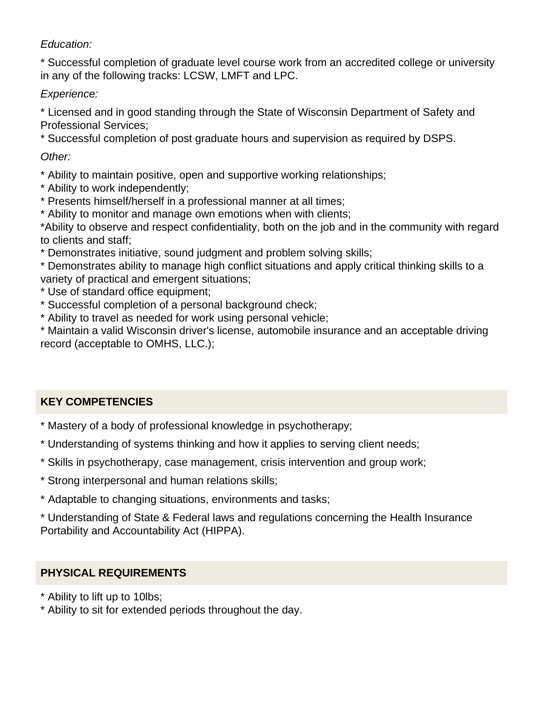## *Education:*

\* Successful completion of graduate level course work from an accredited college or university in any of the following tracks: LCSW, LMFT and LPC.

## *Experience:*

\* Licensed and in good standing through the State of Wisconsin Department of Safety and Professional Services;

\* Successful completion of post graduate hours and supervision as required by DSPS.

*Other:*

- \* Ability to maintain positive, open and supportive working relationships;
- \* Ability to work independently;
- \* Presents himself/herself in a professional manner at all times;
- \* Ability to monitor and manage own emotions when with clients;

\*Ability to observe and respect confidentiality, both on the job and in the community with regard to clients and staff;

\* Demonstrates initiative, sound judgment and problem solving skills;

\* Demonstrates ability to manage high conflict situations and apply critical thinking skills to a variety of practical and emergent situations;

- \* Use of standard office equipment;
- \* Successful completion of a personal background check;
- \* Ability to travel as needed for work using personal vehicle;

\* Maintain a valid Wisconsin driver's license, automobile insurance and an acceptable driving record (acceptable to OMHS, LLC.);

## **KEY COMPETENCIES**

- \* Mastery of a body of professional knowledge in psychotherapy;
- \* Understanding of systems thinking and how it applies to serving client needs;
- \* Skills in psychotherapy, case management, crisis intervention and group work;
- \* Strong interpersonal and human relations skills;
- \* Adaptable to changing situations, environments and tasks;

\* Understanding of State & Federal laws and regulations concerning the Health Insurance Portability and Accountability Act (HIPPA).

## **PHYSICAL REQUIREMENTS**

- \* Ability to lift up to 10lbs;
- \* Ability to sit for extended periods throughout the day.